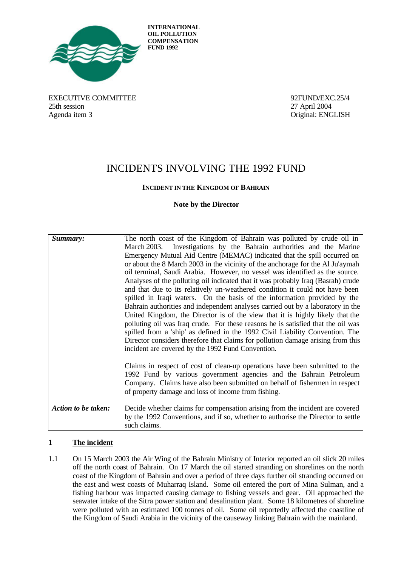

**INTERNATIONAL OIL POLLUTION COMPENSATION FUND 1992**

EXECUTIVE COMMITTEE 32FUND/EXC.25/4 25th session 27 April 2004 Agenda item 3 Original: ENGLISH

# INCIDENTS INVOLVING THE 1992 FUND

# **INCIDENT IN THE KINGDOM OF BAHRAIN**

## **Note by the Director**

| Summary:            | The north coast of the Kingdom of Bahrain was polluted by crude oil in<br>March 2003. Investigations by the Bahrain authorities and the Marine<br>Emergency Mutual Aid Centre (MEMAC) indicated that the spill occurred on<br>or about the 8 March 2003 in the vicinity of the anchorage for the Al Ju'aymah<br>oil terminal, Saudi Arabia. However, no vessel was identified as the source.<br>Analyses of the polluting oil indicated that it was probably Iraq (Basrah) crude<br>and that due to its relatively un-weathered condition it could not have been<br>spilled in Iraqi waters. On the basis of the information provided by the<br>Bahrain authorities and independent analyses carried out by a laboratory in the<br>United Kingdom, the Director is of the view that it is highly likely that the<br>polluting oil was Iraq crude. For these reasons he is satisfied that the oil was<br>spilled from a 'ship' as defined in the 1992 Civil Liability Convention. The<br>Director considers therefore that claims for pollution damage arising from this<br>incident are covered by the 1992 Fund Convention.<br>Claims in respect of cost of clean-up operations have been submitted to the<br>1992 Fund by various government agencies and the Bahrain Petroleum<br>Company. Claims have also been submitted on behalf of fishermen in respect<br>of property damage and loss of income from fishing. |
|---------------------|------------------------------------------------------------------------------------------------------------------------------------------------------------------------------------------------------------------------------------------------------------------------------------------------------------------------------------------------------------------------------------------------------------------------------------------------------------------------------------------------------------------------------------------------------------------------------------------------------------------------------------------------------------------------------------------------------------------------------------------------------------------------------------------------------------------------------------------------------------------------------------------------------------------------------------------------------------------------------------------------------------------------------------------------------------------------------------------------------------------------------------------------------------------------------------------------------------------------------------------------------------------------------------------------------------------------------------------------------------------------------------------------------------------------|
| Action to be taken: | Decide whether claims for compensation arising from the incident are covered<br>by the 1992 Conventions, and if so, whether to authorise the Director to settle<br>such claims.                                                                                                                                                                                                                                                                                                                                                                                                                                                                                                                                                                                                                                                                                                                                                                                                                                                                                                                                                                                                                                                                                                                                                                                                                                        |

# **1 The incident**

1.1 On 15 March 2003 the Air Wing of the Bahrain Ministry of Interior reported an oil slick 20 miles off the north coast of Bahrain. On 17 March the oil started stranding on shorelines on the north coast of the Kingdom of Bahrain and over a period of three days further oil stranding occurred on the east and west coasts of Muharraq Island. Some oil entered the port of Mina Sulman, and a fishing harbour was impacted causing damage to fishing vessels and gear. Oil approached the seawater intake of the Sitra power station and desalination plant. Some 18 kilometres of shoreline were polluted with an estimated 100 tonnes of oil. Some oil reportedly affected the coastline of the Kingdom of Saudi Arabia in the vicinity of the causeway linking Bahrain with the mainland.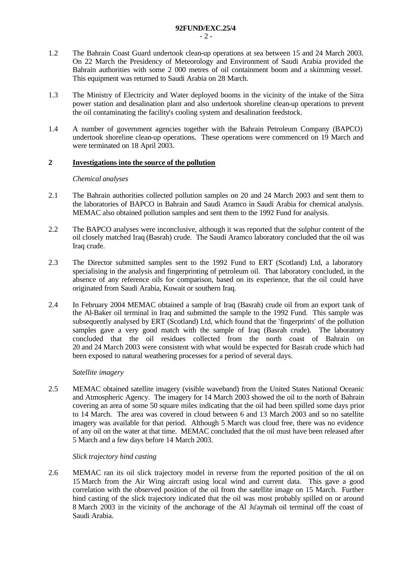- 1.2 The Bahrain Coast Guard undertook clean-up operations at sea between 15 and 24 March 2003. On 22 March the Presidency of Meteorology and Environment of Saudi Arabia provided the Bahrain authorities with some 2 000 metres of oil containment boom and a skimming vessel. This equipment was returned to Saudi Arabia on 28 March.
- 1.3 The Ministry of Electricity and Water deployed booms in the vicinity of the intake of the Sitra power station and desalination plant and also undertook shoreline clean-up operations to prevent the oil contaminating the facility's cooling system and desalination feedstock.
- 1.4 A number of government agencies together with the Bahrain Petroleum Company (BAPCO) undertook shoreline clean-up operations. These operations were commenced on 19 March and were terminated on 18 April 2003.

# **2 Investigations into the source of the pollution**

### *Chemical analyses*

- 2.1 The Bahrain authorities collected pollution samples on 20 and 24 March 2003 and sent them to the laboratories of BAPCO in Bahrain and Saudi Aramco in Saudi Arabia for chemical analysis. MEMAC also obtained pollution samples and sent them to the 1992 Fund for analysis.
- 2.2 The BAPCO analyses were inconclusive, although it was reported that the sulphur content of the oil closely matched Iraq (Basrah) crude. The Saudi Aramco laboratory concluded that the oil was Iraq crude.
- 2.3 The Director submitted samples sent to the 1992 Fund to ERT (Scotland) Ltd, a laboratory specialising in the analysis and fingerprinting of petroleum oil. That laboratory concluded, in the absence of any reference oils for comparison, based on its experience, that the oil could have originated from Saudi Arabia, Kuwait or southern Iraq.
- 2.4 In February 2004 MEMAC obtained a sample of Iraq (Basrah) crude oil from an export tank of the Al-Baker oil terminal in Iraq and submitted the sample to the 1992 Fund. This sample was subsequently analysed by ERT (Scotland) Ltd, which found that the 'fingerprints' of the pollution samples gave a very good match with the sample of Iraq (Basrah crude). The laboratory concluded that the oil residues collected from the north coast of Bahrain on 20 and 24 March 2003 were consistent with what would be expected for Basrah crude which had been exposed to natural weathering processes for a period of several days.

## *Satellite imagery*

2.5 MEMAC obtained satellite imagery (visible waveband) from the United States National Oceanic and Atmospheric Agency. The imagery for 14 March 2003 showed the oil to the north of Bahrain covering an area of some 50 square miles indicating that the oil had been spilled some days prior to 14 March. The area was covered in cloud between 6 and 13 March 2003 and so no satellite imagery was available for that period. Although 5 March was cloud free, there was no evidence of any oil on the water at that time. MEMAC concluded that the oil must have been released after 5 March and a few days before 14 March 2003.

# *Slick trajectory hind casting*

2.6 MEMAC ran its oil slick trajectory model in reverse from the reported position of the oil on 15 March from the Air Wing aircraft using local wind and current data. This gave a good correlation with the observed position of the oil from the satellite image on 15 March. Further hind casting of the slick trajectory indicated that the oil was most probably spilled on or around 8 March 2003 in the vicinity of the anchorage of the Al Ju'aymah oil terminal off the coast of Saudi Arabia.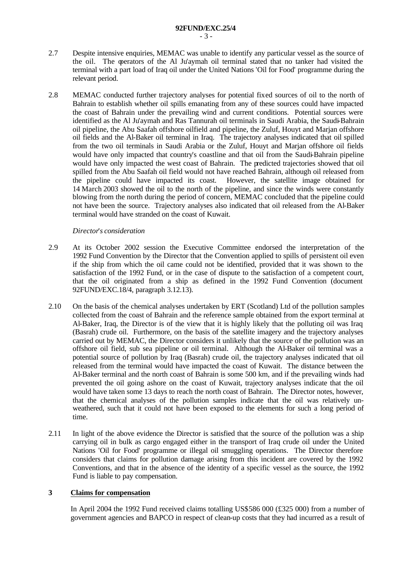- 2.7 Despite intensive enquiries, MEMAC was unable to identify any particular vessel as the source of the oil. The operators of the Al Ju'aymah oil terminal stated that no tanker had visited the terminal with a part load of Iraq oil under the United Nations 'Oil for Food' programme during the relevant period.
- 2.8 MEMAC conducted further trajectory analyses for potential fixed sources of oil to the north of Bahrain to establish whether oil spills emanating from any of these sources could have impacted the coast of Bahrain under the prevailing wind and current conditions. Potential sources were identified as the Al Ju'aymah and Ras Tannurah oil terminals in Saudi Arabia, the Saudi-Bahrain oil pipeline, the Abu Saafah offshore oilfield and pipeline, the Zuluf, Houyt and Marjan offshore oil fields and the Al-Baker oil terminal in Iraq. The trajectory analyses indicated that oil spilled from the two oil terminals in Saudi Arabia or the Zuluf, Houyt and Marjan offshore oil fields would have only impacted that country's coastline and that oil from the Saudi-Bahrain pipeline would have only impacted the west coast of Bahrain. The predicted trajectories showed that oil spilled from the Abu Saafah oil field would not have reached Bahrain, although oil released from the pipeline could have impacted its coast. However, the satellite image obtained for 14 March 2003 showed the oil to the north of the pipeline, and since the winds were constantly blowing from the north during the period of concern, MEMAC concluded that the pipeline could not have been the source. Trajectory analyses also indicated that oil released from the Al-Baker terminal would have stranded on the coast of Kuwait.

### *Director*'*s consideration*

- 2.9 At its October 2002 session the Executive Committee endorsed the interpretation of the 1992 Fund Convention by the Director that the Convention applied to spills of persistent oil even if the ship from which the oil came could not be identified, provided that it was shown to the satisfaction of the 1992 Fund, or in the case of dispute to the satisfaction of a competent court, that the oil originated from a ship as defined in the 1992 Fund Convention (document 92FUND/EXC.18/4, paragraph 3.12.13).
- 2.10 On the basis of the chemical analyses undertaken by ERT (Scotland) Ltd of the pollution samples collected from the coast of Bahrain and the reference sample obtained from the export terminal at Al-Baker, Iraq, the Director is of the view that it is highly likely that the polluting oil was Iraq (Basrah) crude oil. Furthermore, on the basis of the satellite imagery and the trajectory analyses carried out by MEMAC, the Director considers it unlikely that the source of the pollution was an offshore oil field, sub sea pipeline or oil terminal. Although the Al-Baker oil terminal was a potential source of pollution by Iraq (Basrah) crude oil, the trajectory analyses indicated that oil released from the terminal would have impacted the coast of Kuwait. The distance between the Al-Baker terminal and the north coast of Bahrain is some 500 km, and if the prevailing winds had prevented the oil going ashore on the coast of Kuwait, trajectory analyses indicate that the oil would have taken some 13 days to reach the north coast of Bahrain. The Director notes, however, that the chemical analyses of the pollution samples indicate that the oil was relatively unweathered, such that it could not have been exposed to the elements for such a long period of time.
- 2.11 In light of the above evidence the Director is satisfied that the source of the pollution was a ship carrying oil in bulk as cargo engaged either in the transport of Iraq crude oil under the United Nations 'Oil for Food' programme or illegal oil smuggling operations. The Director therefore considers that claims for pollution damage arising from this incident are covered by the 1992 Conventions, and that in the absence of the identity of a specific vessel as the source, the 1992 Fund is liable to pay compensation.

### **3 Claims for compensation**

In April 2004 the 1992 Fund received claims totalling US\$586 000 (£325 000) from a number of government agencies and BAPCO in respect of clean-up costs that they had incurred as a result of